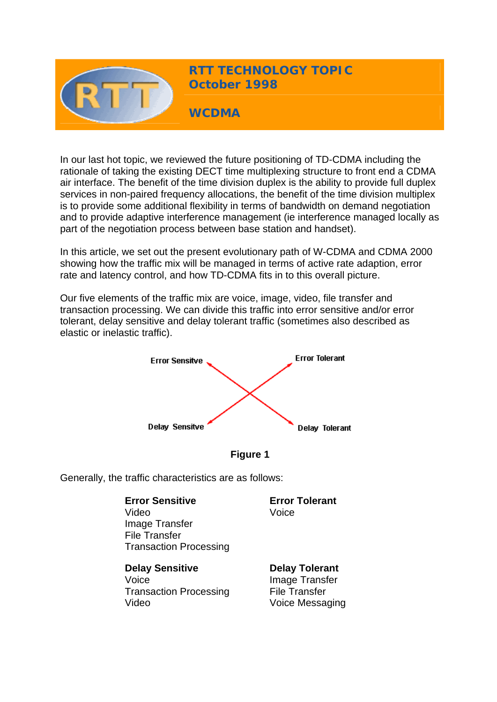

**RTT TECHNOLOGY TOPIC October 1998** 

**WCDMA** 

In our last hot topic, we reviewed the future positioning of TD-CDMA including the rationale of taking the existing DECT time multiplexing structure to front end a CDMA air interface. The benefit of the time division duplex is the ability to provide full duplex services in non-paired frequency allocations, the benefit of the time division multiplex is to provide some additional flexibility in terms of bandwidth on demand negotiation and to provide adaptive interference management (ie interference managed locally as part of the negotiation process between base station and handset).

In this article, we set out the present evolutionary path of W-CDMA and CDMA 2000 showing how the traffic mix will be managed in terms of active rate adaption, error rate and latency control, and how TD-CDMA fits in to this overall picture.

Our five elements of the traffic mix are voice, image, video, file transfer and transaction processing. We can divide this traffic into error sensitive and/or error tolerant, delay sensitive and delay tolerant traffic (sometimes also described as elastic or inelastic traffic).





Generally, the traffic characteristics are as follows:

**Error Sensitive** Video Image Transfer File Transfer Transaction Processing **Error Tolerant** Voice **Delay Sensitive** Voice Transaction Processing Video **Delay Tolerant** Image Transfer File Transfer Voice Messaging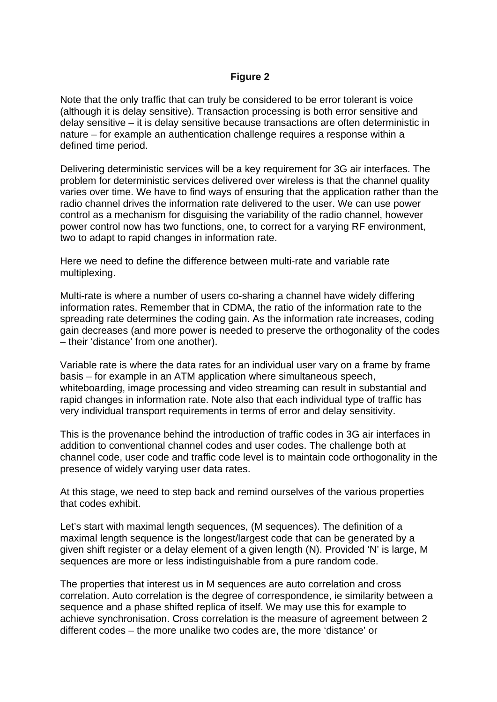## **Figure 2**

Note that the only traffic that can truly be considered to be error tolerant is voice (although it is delay sensitive). Transaction processing is both error sensitive and delay sensitive – it is delay sensitive because transactions are often deterministic in nature – for example an authentication challenge requires a response within a defined time period.

Delivering deterministic services will be a key requirement for 3G air interfaces. The problem for deterministic services delivered over wireless is that the channel quality varies over time. We have to find ways of ensuring that the application rather than the radio channel drives the information rate delivered to the user. We can use power control as a mechanism for disguising the variability of the radio channel, however power control now has two functions, one, to correct for a varying RF environment, two to adapt to rapid changes in information rate.

Here we need to define the difference between multi-rate and variable rate multiplexing.

Multi-rate is where a number of users co-sharing a channel have widely differing information rates. Remember that in CDMA, the ratio of the information rate to the spreading rate determines the coding gain. As the information rate increases, coding gain decreases (and more power is needed to preserve the orthogonality of the codes – their 'distance' from one another).

Variable rate is where the data rates for an individual user vary on a frame by frame basis – for example in an ATM application where simultaneous speech, whiteboarding, image processing and video streaming can result in substantial and rapid changes in information rate. Note also that each individual type of traffic has very individual transport requirements in terms of error and delay sensitivity.

This is the provenance behind the introduction of traffic codes in 3G air interfaces in addition to conventional channel codes and user codes. The challenge both at channel code, user code and traffic code level is to maintain code orthogonality in the presence of widely varying user data rates.

At this stage, we need to step back and remind ourselves of the various properties that codes exhibit.

Let's start with maximal length sequences, (M sequences). The definition of a maximal length sequence is the longest/largest code that can be generated by a given shift register or a delay element of a given length (N). Provided 'N' is large, M sequences are more or less indistinguishable from a pure random code.

The properties that interest us in M sequences are auto correlation and cross correlation. Auto correlation is the degree of correspondence, ie similarity between a sequence and a phase shifted replica of itself. We may use this for example to achieve synchronisation. Cross correlation is the measure of agreement between 2 different codes – the more unalike two codes are, the more 'distance' or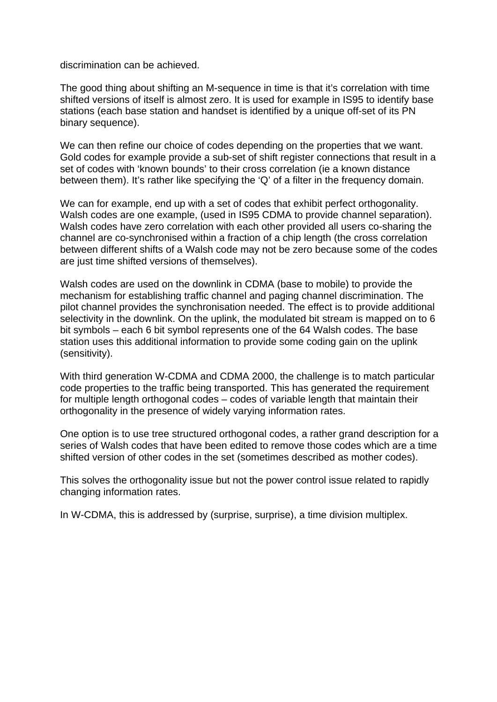discrimination can be achieved.

The good thing about shifting an M-sequence in time is that it's correlation with time shifted versions of itself is almost zero. It is used for example in IS95 to identify base stations (each base station and handset is identified by a unique off-set of its PN binary sequence).

We can then refine our choice of codes depending on the properties that we want. Gold codes for example provide a sub-set of shift register connections that result in a set of codes with 'known bounds' to their cross correlation (ie a known distance between them). It's rather like specifying the 'Q' of a filter in the frequency domain.

We can for example, end up with a set of codes that exhibit perfect orthogonality. Walsh codes are one example, (used in IS95 CDMA to provide channel separation). Walsh codes have zero correlation with each other provided all users co-sharing the channel are co-synchronised within a fraction of a chip length (the cross correlation between different shifts of a Walsh code may not be zero because some of the codes are just time shifted versions of themselves).

Walsh codes are used on the downlink in CDMA (base to mobile) to provide the mechanism for establishing traffic channel and paging channel discrimination. The pilot channel provides the synchronisation needed. The effect is to provide additional selectivity in the downlink. On the uplink, the modulated bit stream is mapped on to 6 bit symbols – each 6 bit symbol represents one of the 64 Walsh codes. The base station uses this additional information to provide some coding gain on the uplink (sensitivity).

With third generation W-CDMA and CDMA 2000, the challenge is to match particular code properties to the traffic being transported. This has generated the requirement for multiple length orthogonal codes – codes of variable length that maintain their orthogonality in the presence of widely varying information rates.

One option is to use tree structured orthogonal codes, a rather grand description for a series of Walsh codes that have been edited to remove those codes which are a time shifted version of other codes in the set (sometimes described as mother codes).

This solves the orthogonality issue but not the power control issue related to rapidly changing information rates.

In W-CDMA, this is addressed by (surprise, surprise), a time division multiplex.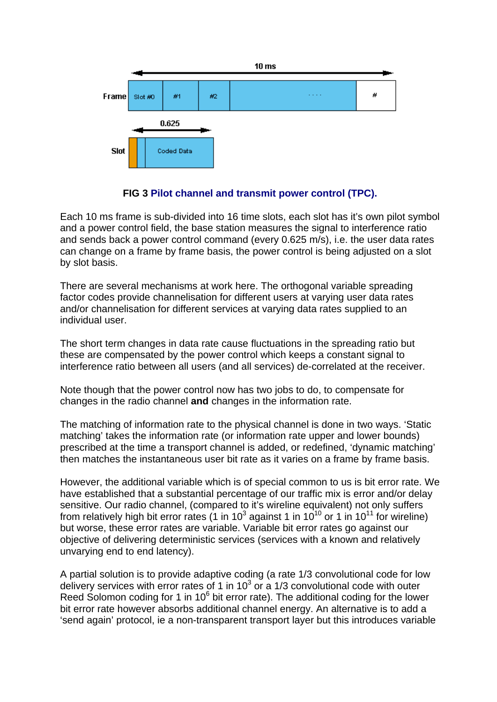

**FIG 3 Pilot channel and transmit power control (TPC).**

Each 10 ms frame is sub-divided into 16 time slots, each slot has it's own pilot symbol and a power control field, the base station measures the signal to interference ratio and sends back a power control command (every 0.625 m/s), i.e. the user data rates can change on a frame by frame basis, the power control is being adjusted on a slot by slot basis.

There are several mechanisms at work here. The orthogonal variable spreading factor codes provide channelisation for different users at varying user data rates and/or channelisation for different services at varying data rates supplied to an individual user.

The short term changes in data rate cause fluctuations in the spreading ratio but these are compensated by the power control which keeps a constant signal to interference ratio between all users (and all services) de-correlated at the receiver.

Note though that the power control now has two jobs to do, to compensate for changes in the radio channel **and** changes in the information rate.

The matching of information rate to the physical channel is done in two ways. 'Static matching' takes the information rate (or information rate upper and lower bounds) prescribed at the time a transport channel is added, or redefined, 'dynamic matching' then matches the instantaneous user bit rate as it varies on a frame by frame basis.

However, the additional variable which is of special common to us is bit error rate. We have established that a substantial percentage of our traffic mix is error and/or delay sensitive. Our radio channel, (compared to it's wireline equivalent) not only suffers from relatively high bit error rates (1 in 10<sup>3</sup> against 1 in 10<sup>10</sup> or 1 in 10<sup>11</sup> for wireline) but worse, these error rates are variable. Variable bit error rates go against our objective of delivering deterministic services (services with a known and relatively unvarying end to end latency).

A partial solution is to provide adaptive coding (a rate 1/3 convolutional code for low delivery services with error rates of 1 in  $10^3$  or a 1/3 convolutional code with outer Reed Solomon coding for 1 in  $10^6$  bit error rate). The additional coding for the lower bit error rate however absorbs additional channel energy. An alternative is to add a 'send again' protocol, ie a non-transparent transport layer but this introduces variable